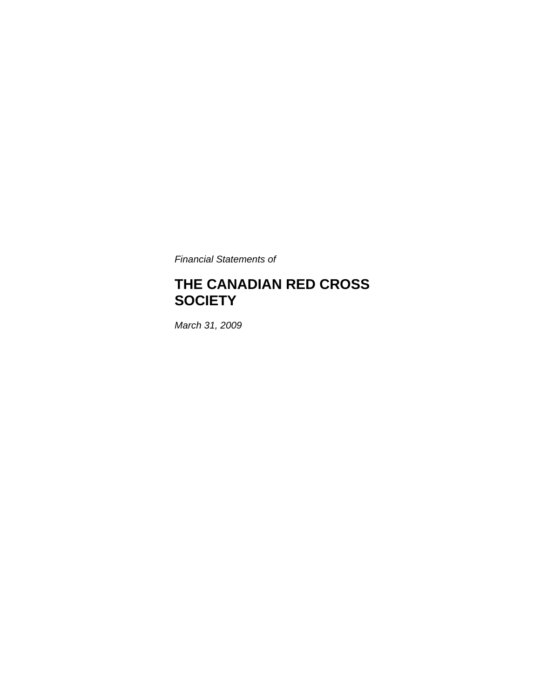*Financial Statements of* 

# **THE CANADIAN RED CROSS SOCIETY**

*March 31, 2009*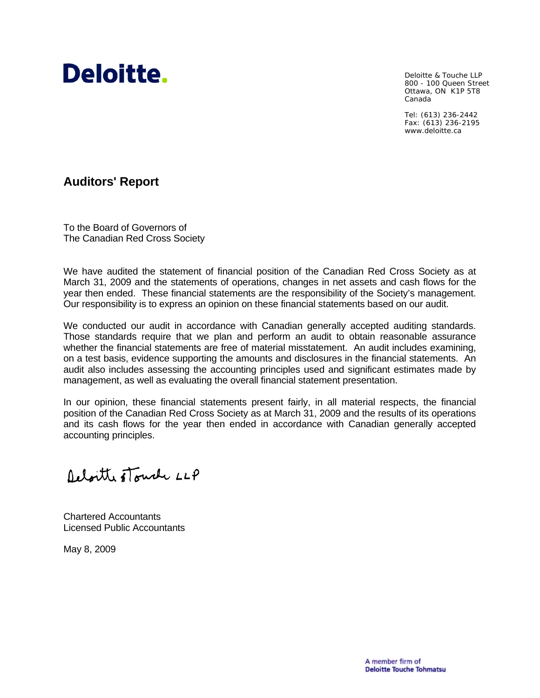

Deloitte & Touche LLP 800 - 100 Queen Street Ottawa, ON K1P 5T8 Canada

Tel: (613) 236-2442 Fax: (613) 236-2195 www.deloitte.ca

# **Auditors' Report**

To the Board of Governors of The Canadian Red Cross Society

We have audited the statement of financial position of the Canadian Red Cross Society as at March 31, 2009 and the statements of operations, changes in net assets and cash flows for the year then ended. These financial statements are the responsibility of the Society's management. Our responsibility is to express an opinion on these financial statements based on our audit.

We conducted our audit in accordance with Canadian generally accepted auditing standards. Those standards require that we plan and perform an audit to obtain reasonable assurance whether the financial statements are free of material misstatement. An audit includes examining, on a test basis, evidence supporting the amounts and disclosures in the financial statements. An audit also includes assessing the accounting principles used and significant estimates made by management, as well as evaluating the overall financial statement presentation.

In our opinion, these financial statements present fairly, in all material respects, the financial position of the Canadian Red Cross Society as at March 31, 2009 and the results of its operations and its cash flows for the year then ended in accordance with Canadian generally accepted accounting principles.

Deloitte stouch LLP

Chartered Accountants Licensed Public Accountants

May 8, 2009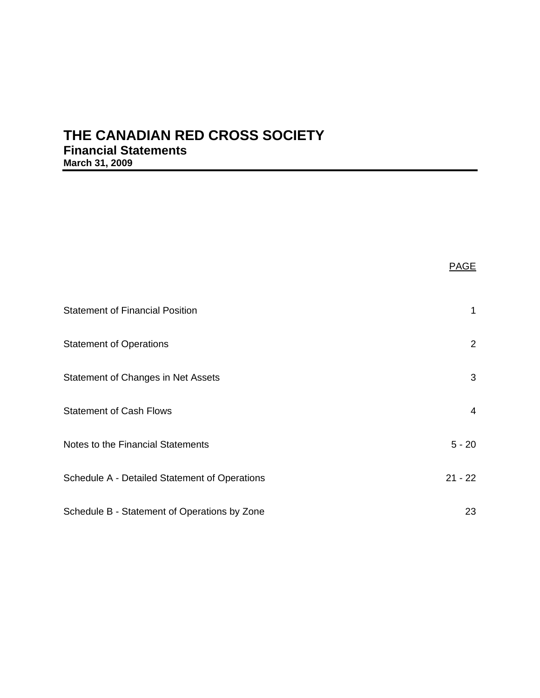# **THE CANADIAN RED CROSS SOCIETY Financial Statements March 31, 2009**

| <b>Statement of Financial Position</b>        | 1         |
|-----------------------------------------------|-----------|
| <b>Statement of Operations</b>                | 2         |
| Statement of Changes in Net Assets            | 3         |
| <b>Statement of Cash Flows</b>                | 4         |
| Notes to the Financial Statements             | $5 - 20$  |
| Schedule A - Detailed Statement of Operations | $21 - 22$ |
| Schedule B - Statement of Operations by Zone  | 23        |

PAGE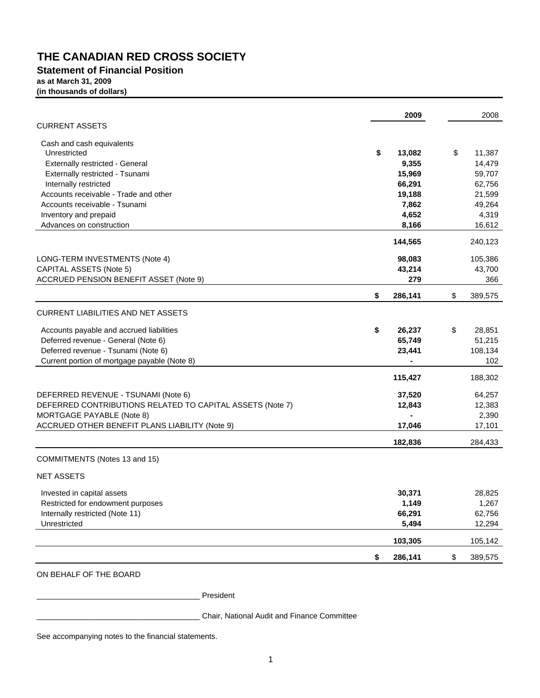### **Statement of Financial Position as at March 31, 2009 (in thousands of dollars)**

|                                                           | 2009          | 2008          |
|-----------------------------------------------------------|---------------|---------------|
| <b>CURRENT ASSETS</b>                                     |               |               |
| Cash and cash equivalents                                 |               |               |
| Unrestricted                                              | \$<br>13,082  | \$<br>11,387  |
| Externally restricted - General                           | 9,355         | 14,479        |
| Externally restricted - Tsunami                           | 15,969        | 59,707        |
| Internally restricted                                     | 66,291        | 62,756        |
| Accounts receivable - Trade and other                     | 19,188        | 21,599        |
| Accounts receivable - Tsunami                             | 7,862         | 49,264        |
| Inventory and prepaid                                     | 4,652         | 4,319         |
| Advances on construction                                  | 8,166         | 16,612        |
|                                                           | 144,565       | 240,123       |
| LONG-TERM INVESTMENTS (Note 4)                            | 98,083        | 105,386       |
| CAPITAL ASSETS (Note 5)                                   | 43,214        | 43,700        |
| ACCRUED PENSION BENEFIT ASSET (Note 9)                    | 279           | 366           |
|                                                           | \$<br>286,141 | \$<br>389,575 |
| <b>CURRENT LIABILITIES AND NET ASSETS</b>                 |               |               |
| Accounts payable and accrued liabilities                  | \$<br>26,237  | \$<br>28,851  |
| Deferred revenue - General (Note 6)                       | 65,749        | 51,215        |
| Deferred revenue - Tsunami (Note 6)                       | 23,441        | 108,134       |
| Current portion of mortgage payable (Note 8)              |               | 102           |
|                                                           | 115,427       | 188,302       |
| DEFERRED REVENUE - TSUNAMI (Note 6)                       | 37,520        | 64,257        |
| DEFERRED CONTRIBUTIONS RELATED TO CAPITAL ASSETS (Note 7) | 12,843        | 12,383        |
| MORTGAGE PAYABLE (Note 8)                                 |               | 2,390         |
| ACCRUED OTHER BENEFIT PLANS LIABILITY (Note 9)            | 17,046        | 17,101        |
|                                                           | 182,836       | 284,433       |
| COMMITMENTS (Notes 13 and 15)                             |               |               |
| <b>NET ASSETS</b>                                         |               |               |
| Invested in capital assets                                | 30,371        | 28,825        |
| Restricted for endowment purposes                         | 1,149         | 1,267         |
| Internally restricted (Note 11)                           | 66,291        | 62,756        |
| Unrestricted                                              | 5,494         | 12,294        |
|                                                           | 103,305       | 105,142       |
|                                                           | \$<br>286,141 | \$<br>389,575 |
|                                                           |               |               |

### ON BEHALF OF THE BOARD

\_\_\_\_\_\_\_\_\_\_\_\_\_\_\_\_\_\_\_\_\_\_\_\_\_\_\_\_\_\_\_\_\_\_\_\_\_\_ President

\_\_\_\_\_\_\_\_\_\_\_\_\_\_\_\_\_\_\_\_\_\_\_\_\_\_\_\_\_\_\_\_\_\_\_\_\_\_ Chair, National Audit and Finance Committee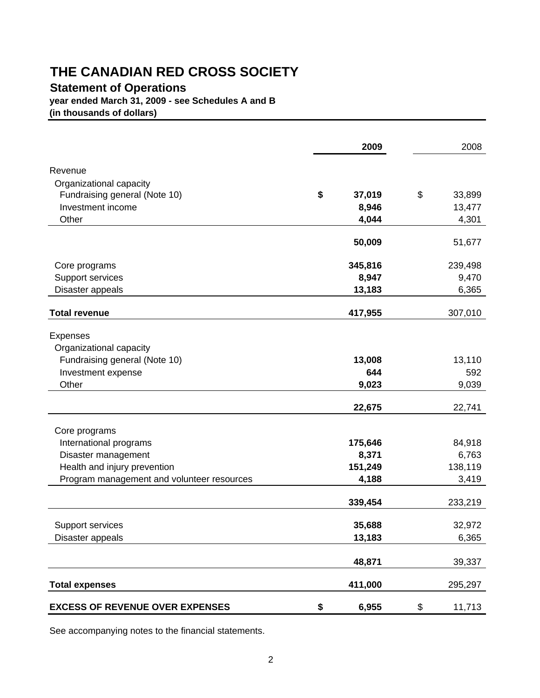# **Statement of Operations**

**year ended March 31, 2009 - see Schedules A and B**

**(in thousands of dollars)**

|                                            | 2009         | 2008         |
|--------------------------------------------|--------------|--------------|
| Revenue                                    |              |              |
| Organizational capacity                    |              |              |
| Fundraising general (Note 10)              | \$<br>37,019 | \$<br>33,899 |
| Investment income                          | 8,946        | 13,477       |
| Other                                      | 4,044        | 4,301        |
|                                            |              |              |
|                                            | 50,009       | 51,677       |
| Core programs                              | 345,816      | 239,498      |
| Support services                           | 8,947        | 9,470        |
| Disaster appeals                           | 13,183       | 6,365        |
| <b>Total revenue</b>                       | 417,955      | 307,010      |
|                                            |              |              |
| <b>Expenses</b>                            |              |              |
| Organizational capacity                    |              |              |
| Fundraising general (Note 10)              | 13,008       | 13,110       |
| Investment expense                         | 644          | 592          |
| Other                                      | 9,023        | 9,039        |
|                                            | 22,675       | 22,741       |
| Core programs                              |              |              |
| International programs                     | 175,646      | 84,918       |
| Disaster management                        | 8,371        | 6,763        |
| Health and injury prevention               | 151,249      | 138,119      |
| Program management and volunteer resources | 4,188        | 3,419        |
|                                            |              |              |
|                                            | 339,454      | 233,219      |
| Support services                           | 35,688       | 32,972       |
| Disaster appeals                           | 13,183       | 6,365        |
|                                            |              |              |
|                                            | 48,871       | 39,337       |
| <b>Total expenses</b>                      | 411,000      | 295,297      |
| <b>EXCESS OF REVENUE OVER EXPENSES</b>     | \$<br>6,955  | \$<br>11,713 |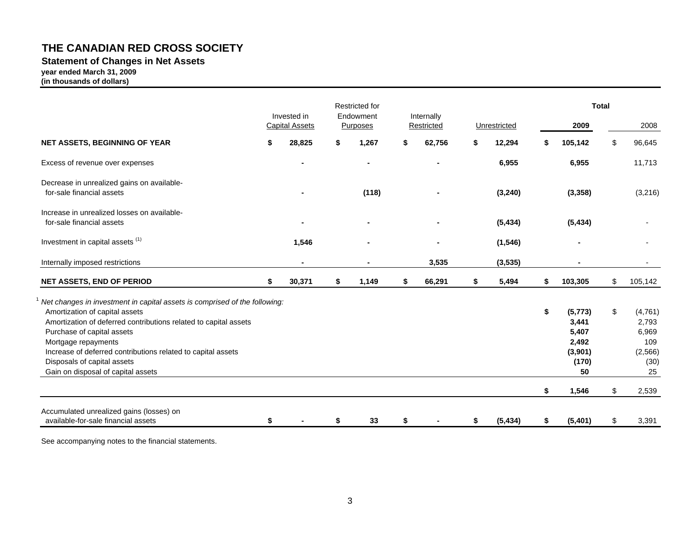# **Statement of Changes in Net Assets**

**year ended March 31, 2009**

**(in thousands of dollars)**

|                                                                                                                                                                                                                                                                                                                                                                            | Invested in           | Restricted for<br>Endowment |    |                          |    |              |          | <b>Total</b>                                                           |          |                                                                    |  |
|----------------------------------------------------------------------------------------------------------------------------------------------------------------------------------------------------------------------------------------------------------------------------------------------------------------------------------------------------------------------------|-----------------------|-----------------------------|----|--------------------------|----|--------------|----------|------------------------------------------------------------------------|----------|--------------------------------------------------------------------|--|
|                                                                                                                                                                                                                                                                                                                                                                            | <b>Capital Assets</b> | Purposes                    |    | Internally<br>Restricted |    | Unrestricted |          | 2009                                                                   |          | 2008                                                               |  |
| NET ASSETS, BEGINNING OF YEAR                                                                                                                                                                                                                                                                                                                                              | 28,825                | \$<br>1,267                 | S  | 62,756                   | \$ | 12,294       | \$       | 105,142                                                                | \$       | 96,645                                                             |  |
| Excess of revenue over expenses                                                                                                                                                                                                                                                                                                                                            |                       | ٠                           |    |                          |    | 6,955        |          | 6,955                                                                  |          | 11,713                                                             |  |
| Decrease in unrealized gains on available-<br>for-sale financial assets                                                                                                                                                                                                                                                                                                    |                       | (118)                       |    |                          |    | (3, 240)     |          | (3, 358)                                                               |          | (3,216)                                                            |  |
| Increase in unrealized losses on available-<br>for-sale financial assets                                                                                                                                                                                                                                                                                                   |                       |                             |    |                          |    | (5, 434)     |          | (5, 434)                                                               |          |                                                                    |  |
| Investment in capital assets <sup>(1)</sup>                                                                                                                                                                                                                                                                                                                                | 1,546                 |                             |    |                          |    | (1, 546)     |          |                                                                        |          |                                                                    |  |
| Internally imposed restrictions                                                                                                                                                                                                                                                                                                                                            |                       |                             |    | 3,535                    |    | (3, 535)     |          |                                                                        |          |                                                                    |  |
| <b>NET ASSETS, END OF PERIOD</b>                                                                                                                                                                                                                                                                                                                                           | 30,371                | \$<br>1,149                 | S. | 66,291                   | \$ | 5,494        | \$       | 103,305                                                                | \$       | 105,142                                                            |  |
| Net changes in investment in capital assets is comprised of the following:<br>Amortization of capital assets<br>Amortization of deferred contributions related to capital assets<br>Purchase of capital assets<br>Mortgage repayments<br>Increase of deferred contributions related to capital assets<br>Disposals of capital assets<br>Gain on disposal of capital assets |                       |                             |    |                          |    |              | \$<br>\$ | (5, 773)<br>3,441<br>5,407<br>2,492<br>(3,901)<br>(170)<br>50<br>1,546 | \$<br>\$ | (4,761)<br>2,793<br>6,969<br>109<br>(2,566)<br>(30)<br>25<br>2,539 |  |
|                                                                                                                                                                                                                                                                                                                                                                            |                       |                             |    |                          |    |              |          |                                                                        |          |                                                                    |  |
| Accumulated unrealized gains (losses) on<br>available-for-sale financial assets                                                                                                                                                                                                                                                                                            |                       | 33                          | \$ |                          | \$ | (5, 434)     | S        | (5,401)                                                                | \$       | 3,391                                                              |  |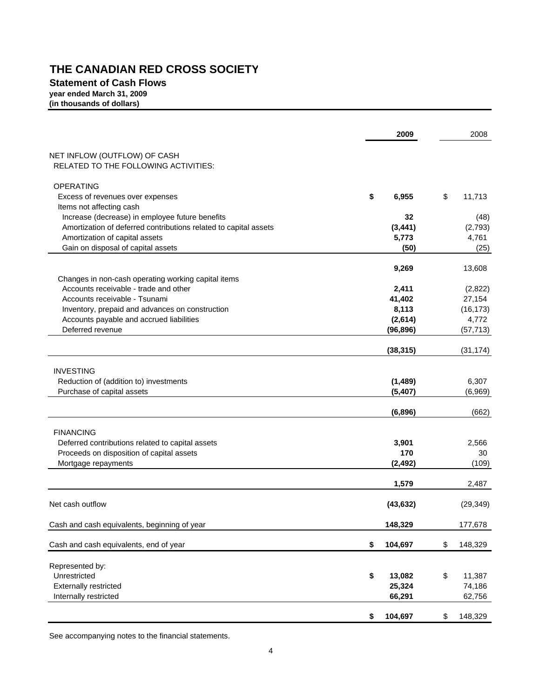### **Statement of Cash Flows year ended March 31, 2009 (in thousands of dollars)**

|                                                                                                    | 2009                   | 2008          |
|----------------------------------------------------------------------------------------------------|------------------------|---------------|
| NET INFLOW (OUTFLOW) OF CASH                                                                       |                        |               |
| <b>RELATED TO THE FOLLOWING ACTIVITIES:</b>                                                        |                        |               |
| <b>OPERATING</b>                                                                                   |                        |               |
| Excess of revenues over expenses                                                                   | \$<br>6,955            | \$<br>11,713  |
| Items not affecting cash                                                                           |                        |               |
| Increase (decrease) in employee future benefits                                                    | 32                     | (48)          |
| Amortization of deferred contributions related to capital assets<br>Amortization of capital assets | (3, 441)<br>5,773      | (2,793)       |
| Gain on disposal of capital assets                                                                 | (50)                   | 4,761<br>(25) |
|                                                                                                    |                        |               |
|                                                                                                    | 9,269                  | 13,608        |
| Changes in non-cash operating working capital items                                                |                        |               |
| Accounts receivable - trade and other                                                              | 2,411                  | (2,822)       |
| Accounts receivable - Tsunami                                                                      | 41,402                 | 27,154        |
| Inventory, prepaid and advances on construction                                                    | 8,113                  | (16, 173)     |
| Accounts payable and accrued liabilities                                                           | (2,614)                | 4,772         |
| Deferred revenue                                                                                   | (96, 896)              | (57, 713)     |
|                                                                                                    | (38, 315)              | (31, 174)     |
|                                                                                                    |                        |               |
| <b>INVESTING</b>                                                                                   |                        |               |
| Reduction of (addition to) investments                                                             | (1, 489)               | 6,307         |
| Purchase of capital assets                                                                         | (5, 407)               | (6,969)       |
|                                                                                                    | (6,896)                | (662)         |
| <b>FINANCING</b>                                                                                   |                        |               |
| Deferred contributions related to capital assets                                                   | 3,901                  | 2,566         |
| Proceeds on disposition of capital assets                                                          | 170                    | 30            |
| Mortgage repayments                                                                                | (2, 492)               | (109)         |
|                                                                                                    | 1,579                  | 2,487         |
|                                                                                                    |                        |               |
| Net cash outflow                                                                                   | (43, 632)              | (29, 349)     |
| Cash and cash equivalents, beginning of year                                                       | 148,329                | 177,678       |
| Cash and cash equivalents, end of year                                                             | \$<br>104,697          | \$<br>148,329 |
|                                                                                                    |                        |               |
| Represented by:<br>Unrestricted                                                                    |                        | 11,387        |
| <b>Externally restricted</b>                                                                       | \$<br>13,082<br>25,324 | \$<br>74,186  |
| Internally restricted                                                                              | 66,291                 | 62,756        |
|                                                                                                    |                        |               |
|                                                                                                    | \$<br>104,697          | \$<br>148,329 |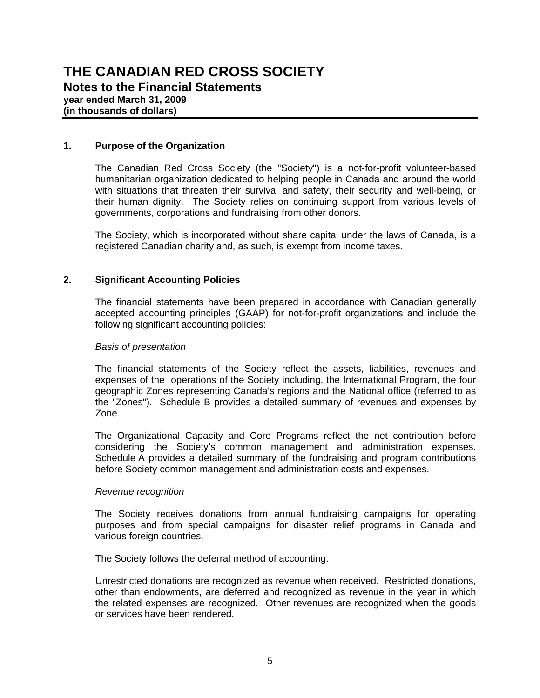## **1. Purpose of the Organization**

The Canadian Red Cross Society (the "Society") is a not-for-profit volunteer-based humanitarian organization dedicated to helping people in Canada and around the world with situations that threaten their survival and safety, their security and well-being, or their human dignity. The Society relies on continuing support from various levels of governments, corporations and fundraising from other donors.

The Society, which is incorporated without share capital under the laws of Canada, is a registered Canadian charity and, as such, is exempt from income taxes.

## **2. Significant Accounting Policies**

The financial statements have been prepared in accordance with Canadian generally accepted accounting principles (GAAP) for not-for-profit organizations and include the following significant accounting policies:

### *Basis of presentation*

The financial statements of the Society reflect the assets, liabilities, revenues and expenses of the operations of the Society including, the International Program, the four geographic Zones representing Canada's regions and the National office (referred to as the "Zones"). Schedule B provides a detailed summary of revenues and expenses by Zone.

The Organizational Capacity and Core Programs reflect the net contribution before considering the Society's common management and administration expenses. Schedule A provides a detailed summary of the fundraising and program contributions before Society common management and administration costs and expenses.

### *Revenue recognition*

The Society receives donations from annual fundraising campaigns for operating purposes and from special campaigns for disaster relief programs in Canada and various foreign countries.

The Society follows the deferral method of accounting.

Unrestricted donations are recognized as revenue when received. Restricted donations, other than endowments, are deferred and recognized as revenue in the year in which the related expenses are recognized. Other revenues are recognized when the goods or services have been rendered.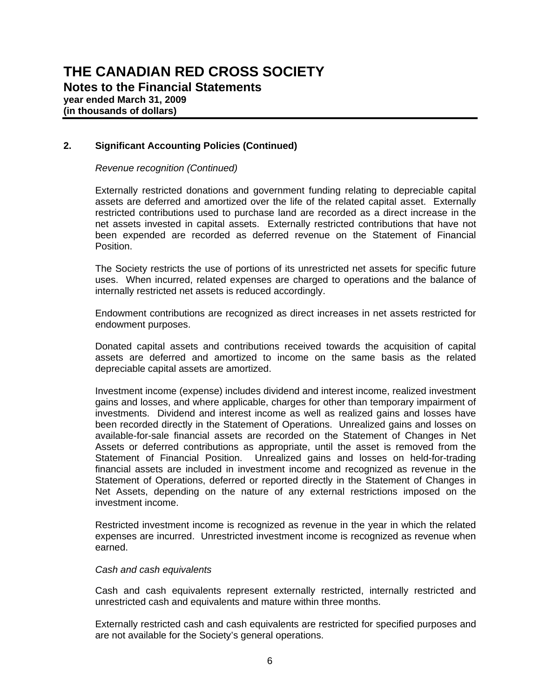### *Revenue recognition (Continued)*

Externally restricted donations and government funding relating to depreciable capital assets are deferred and amortized over the life of the related capital asset. Externally restricted contributions used to purchase land are recorded as a direct increase in the net assets invested in capital assets. Externally restricted contributions that have not been expended are recorded as deferred revenue on the Statement of Financial Position.

The Society restricts the use of portions of its unrestricted net assets for specific future uses. When incurred, related expenses are charged to operations and the balance of internally restricted net assets is reduced accordingly.

Endowment contributions are recognized as direct increases in net assets restricted for endowment purposes.

Donated capital assets and contributions received towards the acquisition of capital assets are deferred and amortized to income on the same basis as the related depreciable capital assets are amortized.

Investment income (expense) includes dividend and interest income, realized investment gains and losses, and where applicable, charges for other than temporary impairment of investments. Dividend and interest income as well as realized gains and losses have been recorded directly in the Statement of Operations. Unrealized gains and losses on available-for-sale financial assets are recorded on the Statement of Changes in Net Assets or deferred contributions as appropriate, until the asset is removed from the Statement of Financial Position. Unrealized gains and losses on held-for-trading financial assets are included in investment income and recognized as revenue in the Statement of Operations, deferred or reported directly in the Statement of Changes in Net Assets, depending on the nature of any external restrictions imposed on the investment income.

Restricted investment income is recognized as revenue in the year in which the related expenses are incurred. Unrestricted investment income is recognized as revenue when earned.

### *Cash and cash equivalents*

Cash and cash equivalents represent externally restricted, internally restricted and unrestricted cash and equivalents and mature within three months.

Externally restricted cash and cash equivalents are restricted for specified purposes and are not available for the Society's general operations.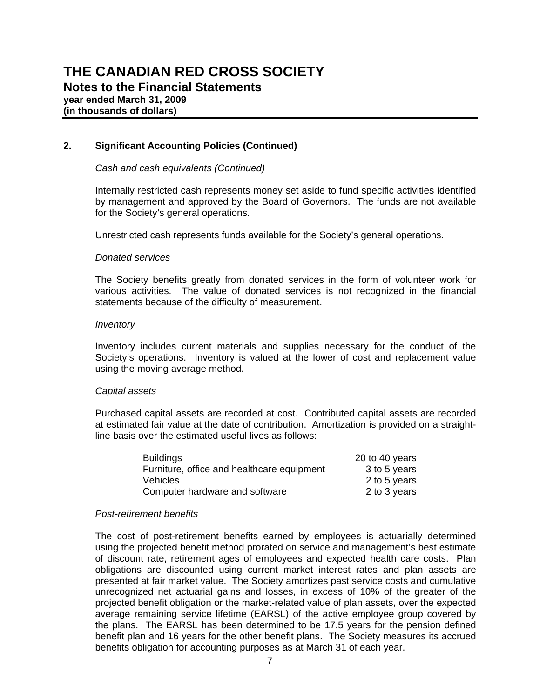### *Cash and cash equivalents (Continued)*

Internally restricted cash represents money set aside to fund specific activities identified by management and approved by the Board of Governors. The funds are not available for the Society's general operations.

Unrestricted cash represents funds available for the Society's general operations.

### *Donated services*

The Society benefits greatly from donated services in the form of volunteer work for various activities. The value of donated services is not recognized in the financial statements because of the difficulty of measurement.

### *Inventory*

Inventory includes current materials and supplies necessary for the conduct of the Society's operations. Inventory is valued at the lower of cost and replacement value using the moving average method.

### *Capital assets*

Purchased capital assets are recorded at cost. Contributed capital assets are recorded at estimated fair value at the date of contribution. Amortization is provided on a straightline basis over the estimated useful lives as follows:

| <b>Buildings</b>                           | 20 to 40 years |
|--------------------------------------------|----------------|
| Furniture, office and healthcare equipment | 3 to 5 years   |
| <b>Vehicles</b>                            | 2 to 5 years   |
| Computer hardware and software             | 2 to 3 years   |

### *Post-retirement benefits*

The cost of post-retirement benefits earned by employees is actuarially determined using the projected benefit method prorated on service and management's best estimate of discount rate, retirement ages of employees and expected health care costs. Plan obligations are discounted using current market interest rates and plan assets are presented at fair market value. The Society amortizes past service costs and cumulative unrecognized net actuarial gains and losses, in excess of 10% of the greater of the projected benefit obligation or the market-related value of plan assets, over the expected average remaining service lifetime (EARSL) of the active employee group covered by the plans. The EARSL has been determined to be 17.5 years for the pension defined benefit plan and 16 years for the other benefit plans. The Society measures its accrued benefits obligation for accounting purposes as at March 31 of each year.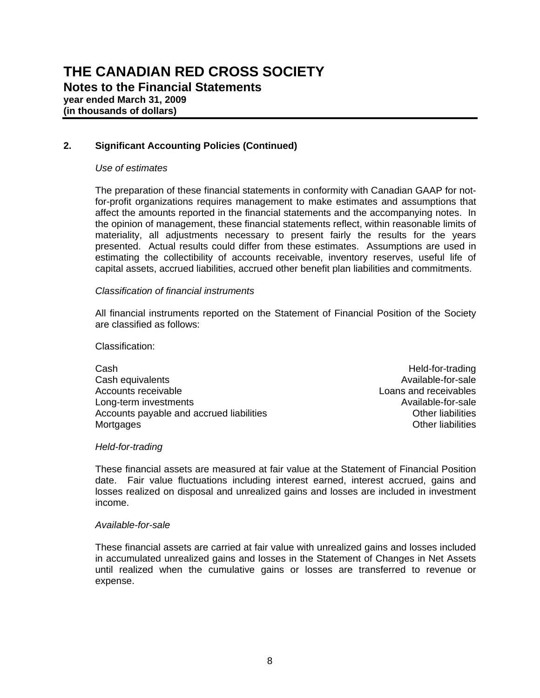### *Use of estimates*

The preparation of these financial statements in conformity with Canadian GAAP for notfor-profit organizations requires management to make estimates and assumptions that affect the amounts reported in the financial statements and the accompanying notes. In the opinion of management, these financial statements reflect, within reasonable limits of materiality, all adjustments necessary to present fairly the results for the years presented. Actual results could differ from these estimates. Assumptions are used in estimating the collectibility of accounts receivable, inventory reserves, useful life of capital assets, accrued liabilities, accrued other benefit plan liabilities and commitments.

### *Classification of financial instruments*

All financial instruments reported on the Statement of Financial Position of the Society are classified as follows:

### Classification:

Cash Held-for-trading Cash equivalents **Available-for-sale** Accounts receivable **Loans and receivables** Long-term investments **Available-for-sale** Available-for-sale Accounts payable and accrued liabilities **Container and Container Container Accounts** Other liabilities Mortgages **Contract Contract Contract Contract Contract Contract Contract Contract Contract Contract Contract Contract Contract Contract Contract Contract Contract Contract Contract Contract Contract Contract Contract Cont** 

### *Held-for-trading*

These financial assets are measured at fair value at the Statement of Financial Position date. Fair value fluctuations including interest earned, interest accrued, gains and losses realized on disposal and unrealized gains and losses are included in investment income.

### *Available-for-sale*

These financial assets are carried at fair value with unrealized gains and losses included in accumulated unrealized gains and losses in the Statement of Changes in Net Assets until realized when the cumulative gains or losses are transferred to revenue or expense.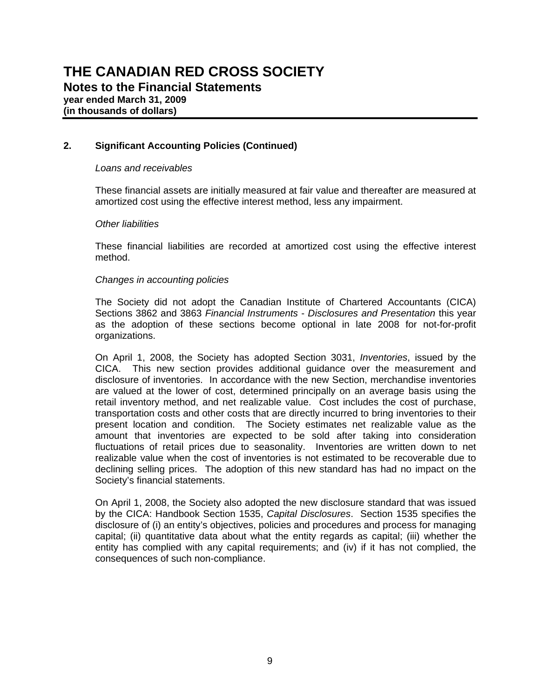### *Loans and receivables*

These financial assets are initially measured at fair value and thereafter are measured at amortized cost using the effective interest method, less any impairment.

### *Other liabilities*

These financial liabilities are recorded at amortized cost using the effective interest method.

### *Changes in accounting policies*

The Society did not adopt the Canadian Institute of Chartered Accountants (CICA) Sections 3862 and 3863 *Financial Instruments* - *Disclosures and Presentation* this year as the adoption of these sections become optional in late 2008 for not-for-profit organizations.

On April 1, 2008, the Society has adopted Section 3031, *Inventories*, issued by the CICA. This new section provides additional guidance over the measurement and disclosure of inventories. In accordance with the new Section, merchandise inventories are valued at the lower of cost, determined principally on an average basis using the retail inventory method, and net realizable value. Cost includes the cost of purchase, transportation costs and other costs that are directly incurred to bring inventories to their present location and condition. The Society estimates net realizable value as the amount that inventories are expected to be sold after taking into consideration fluctuations of retail prices due to seasonality. Inventories are written down to net realizable value when the cost of inventories is not estimated to be recoverable due to declining selling prices. The adoption of this new standard has had no impact on the Society's financial statements.

On April 1, 2008, the Society also adopted the new disclosure standard that was issued by the CICA: Handbook Section 1535, *Capital Disclosures*. Section 1535 specifies the disclosure of (i) an entity's objectives, policies and procedures and process for managing capital; (ii) quantitative data about what the entity regards as capital; (iii) whether the entity has complied with any capital requirements; and (iv) if it has not complied, the consequences of such non-compliance.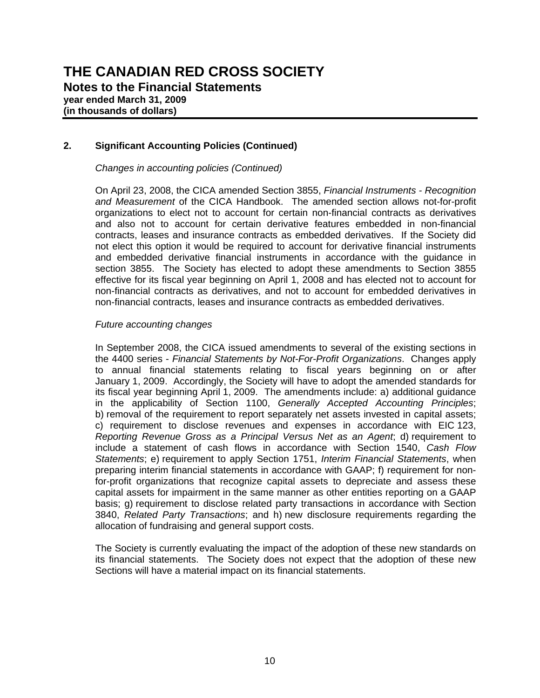### *Changes in accounting policies (Continued)*

On April 23, 2008, the CICA amended Section 3855, *Financial Instruments - Recognition and Measurement* of the CICA Handbook. The amended section allows not-for-profit organizations to elect not to account for certain non-financial contracts as derivatives and also not to account for certain derivative features embedded in non-financial contracts, leases and insurance contracts as embedded derivatives. If the Society did not elect this option it would be required to account for derivative financial instruments and embedded derivative financial instruments in accordance with the guidance in section 3855. The Society has elected to adopt these amendments to Section 3855 effective for its fiscal year beginning on April 1, 2008 and has elected not to account for non-financial contracts as derivatives, and not to account for embedded derivatives in non-financial contracts, leases and insurance contracts as embedded derivatives.

### *Future accounting changes*

In September 2008, the CICA issued amendments to several of the existing sections in the 4400 series - *Financial Statements by Not-For-Profit Organizations*. Changes apply to annual financial statements relating to fiscal years beginning on or after January 1, 2009. Accordingly, the Society will have to adopt the amended standards for its fiscal year beginning April 1, 2009. The amendments include: a) additional guidance in the applicability of Section 1100, *Generally Accepted Accounting Principles*; b) removal of the requirement to report separately net assets invested in capital assets; c) requirement to disclose revenues and expenses in accordance with EIC 123, *Reporting Revenue Gross as a Principal Versus Net as an Agent*; d) requirement to include a statement of cash flows in accordance with Section 1540, *Cash Flow Statements*; e) requirement to apply Section 1751, *Interim Financial Statements*, when preparing interim financial statements in accordance with GAAP; f) requirement for nonfor-profit organizations that recognize capital assets to depreciate and assess these capital assets for impairment in the same manner as other entities reporting on a GAAP basis; g) requirement to disclose related party transactions in accordance with Section 3840, *Related Party Transactions*; and h) new disclosure requirements regarding the allocation of fundraising and general support costs.

The Society is currently evaluating the impact of the adoption of these new standards on its financial statements. The Society does not expect that the adoption of these new Sections will have a material impact on its financial statements.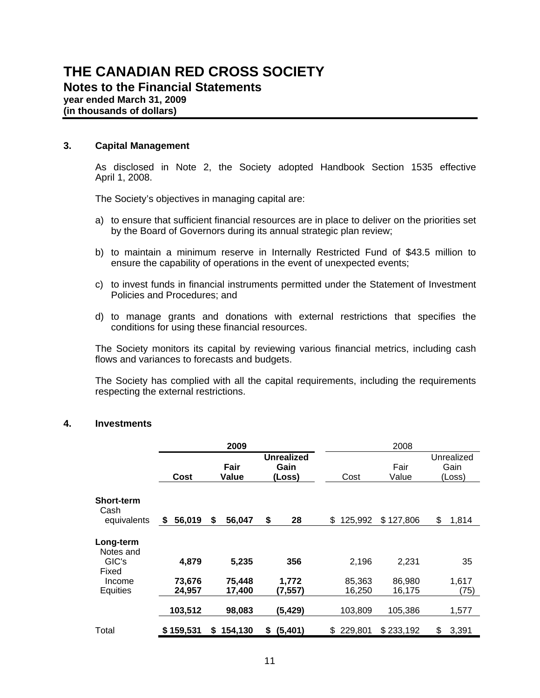# **THE CANADIAN RED CROSS SOCIETY Notes to the Financial Statements year ended March 31, 2009**

**(in thousands of dollars)**

## **3. Capital Management**

As disclosed in Note 2, the Society adopted Handbook Section 1535 effective April 1, 2008.

The Society's objectives in managing capital are:

- a) to ensure that sufficient financial resources are in place to deliver on the priorities set by the Board of Governors during its annual strategic plan review;
- b) to maintain a minimum reserve in Internally Restricted Fund of \$43.5 million to ensure the capability of operations in the event of unexpected events;
- c) to invest funds in financial instruments permitted under the Statement of Investment Policies and Procedures; and
- d) to manage grants and donations with external restrictions that specifies the conditions for using these financial resources.

The Society monitors its capital by reviewing various financial metrics, including cash flows and variances to forecasts and budgets.

The Society has complied with all the capital requirements, including the requirements respecting the external restrictions.

### **4. Investments**

|                                          |                           | 2009                      |                                     | 2008                      |                           |                              |  |  |
|------------------------------------------|---------------------------|---------------------------|-------------------------------------|---------------------------|---------------------------|------------------------------|--|--|
|                                          | Cost                      | Fair<br>Value             | <b>Unrealized</b><br>Gain<br>(Loss) | Cost                      | Fair<br>Value             | Unrealized<br>Gain<br>(Loss) |  |  |
| <b>Short-term</b><br>Cash<br>equivalents | 56,019<br>- \$            | 56,047<br>\$              | \$<br>28                            | 125,992<br>\$             | \$127,806                 | \$<br>1,814                  |  |  |
| Long-term<br>Notes and                   |                           |                           |                                     |                           |                           |                              |  |  |
| GIC's<br>Fixed<br>Income<br>Equities     | 4,879<br>73,676<br>24.957 | 5,235<br>75,448<br>17,400 | 356<br>1,772<br>(7, 557)            | 2,196<br>85,363<br>16,250 | 2,231<br>86,980<br>16,175 | 35<br>1,617<br>(75)          |  |  |
|                                          | 103,512                   | 98,083                    | (5,429)                             | 103,809                   | 105,386                   | 1,577                        |  |  |
| Total                                    | \$159,531                 | \$154,130                 | (5,401)<br>\$                       | 229,801<br>\$             | \$233,192                 | 3,391<br>\$                  |  |  |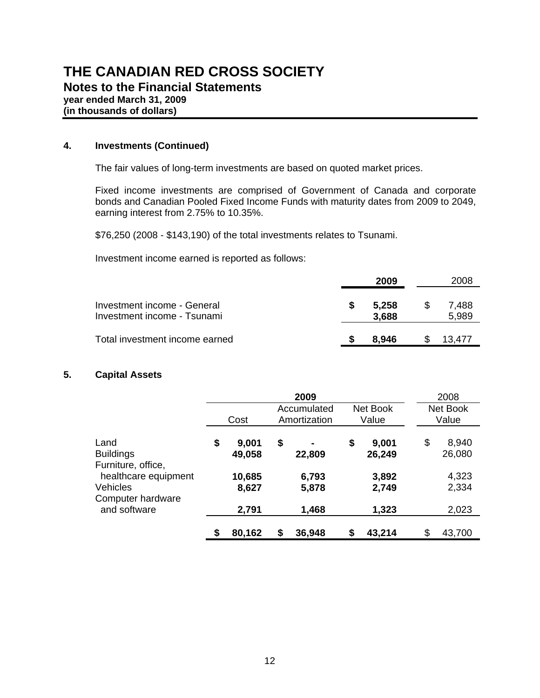# **THE CANADIAN RED CROSS SOCIETY Notes to the Financial Statements year ended March 31, 2009 (in thousands of dollars)**

# **4. Investments (Continued)**

The fair values of long-term investments are based on quoted market prices.

 Fixed income investments are comprised of Government of Canada and corporate bonds and Canadian Pooled Fixed Income Funds with maturity dates from 2009 to 2049, earning interest from 2.75% to 10.35%.

\$76,250 (2008 - \$143,190) of the total investments relates to Tsunami.

Investment income earned is reported as follows:

|                                                            | 2009           | 2008           |
|------------------------------------------------------------|----------------|----------------|
| Investment income - General<br>Investment income - Tsunami | 5.258<br>3.688 | 7,488<br>5,989 |
| Total investment income earned                             | 8.946          | 13.477         |

# **5. Capital Assets**

|                                                |                       | 2009                        |                       | 2008                  |
|------------------------------------------------|-----------------------|-----------------------------|-----------------------|-----------------------|
|                                                | Cost                  | Accumulated<br>Amortization | Net Book<br>Value     | Net Book<br>Value     |
| Land<br><b>Buildings</b><br>Furniture, office, | \$<br>9,001<br>49,058 | \$<br>22,809                | \$<br>9,001<br>26,249 | \$<br>8,940<br>26,080 |
| healthcare equipment                           | 10,685                | 6,793                       | 3,892                 | 4,323                 |
| Vehicles<br>Computer hardware                  | 8,627                 | 5,878                       | 2,749                 | 2,334                 |
| and software                                   | 2,791                 | 1,468                       | 1,323                 | 2,023                 |
|                                                | \$<br>80,162          | 36,948                      | \$<br>43,214          | \$<br>43,700          |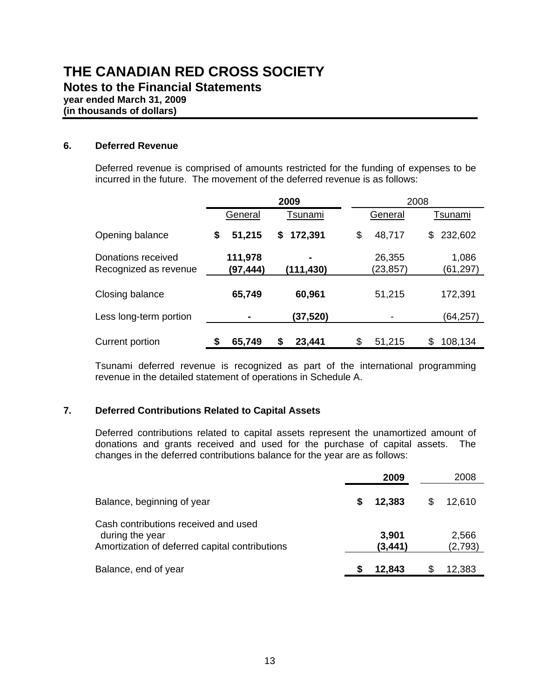## **6. Deferred Revenue**

 Deferred revenue is comprised of amounts restricted for the funding of expenses to be incurred in the future. The movement of the deferred revenue is as follows:

|                                             |                     |    | 2009      |                     | 2008 |                   |
|---------------------------------------------|---------------------|----|-----------|---------------------|------|-------------------|
|                                             | General             |    | Tsunami   | General             |      | Tsunami           |
| Opening balance                             | \$<br>51,215        | \$ | 172,391   | \$<br>48,717        | \$   | 232,602           |
| Donations received<br>Recognized as revenue | 111,978<br>(97,444) |    | (111,430) | 26,355<br>(23, 857) |      | 1,086<br>(61,297) |
| Closing balance                             | 65,749              |    | 60,961    | 51,215              |      | 172,391           |
| Less long-term portion                      |                     |    | (37,520)  |                     |      | (64,257)          |
| Current portion                             | 65,749              | S  | 23,441    | \$<br>51,215        | \$   | 108,134           |

 Tsunami deferred revenue is recognized as part of the international programming revenue in the detailed statement of operations in Schedule A.

### **7. Deferred Contributions Related to Capital Assets**

Deferred contributions related to capital assets represent the unamortized amount of donations and grants received and used for the purchase of capital assets. The changes in the deferred contributions balance for the year are as follows:

|                                                                                                           |   | 2009              |    | 2008             |
|-----------------------------------------------------------------------------------------------------------|---|-------------------|----|------------------|
| Balance, beginning of year                                                                                | S | 12,383            | \$ | 12,610           |
| Cash contributions received and used<br>during the year<br>Amortization of deferred capital contributions |   | 3,901<br>(3, 441) |    | 2,566<br>(2,793) |
| Balance, end of year                                                                                      |   | 12,843            | S  | 12,383           |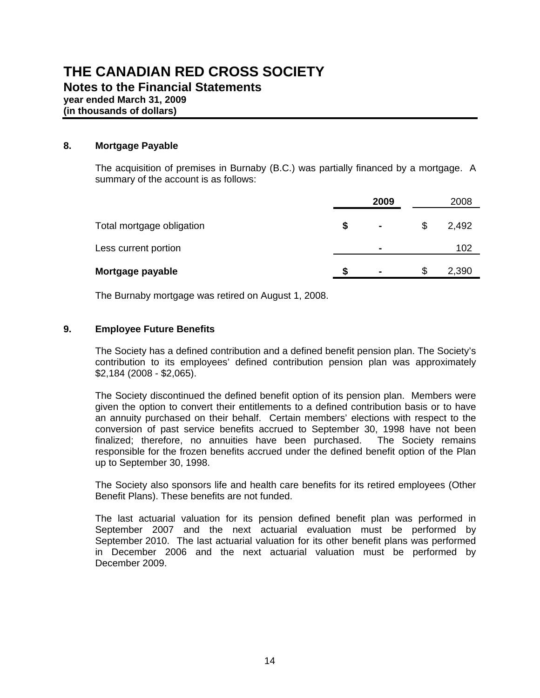## **8. Mortgage Payable**

The acquisition of premises in Burnaby (B.C.) was partially financed by a mortgage. A summary of the account is as follows:

|                           |    | 2009           | 2008        |
|---------------------------|----|----------------|-------------|
| Total mortgage obligation | \$ | $\blacksquare$ | \$<br>2,492 |
| Less current portion      |    | $\blacksquare$ | 102         |
| Mortgage payable          | S  |                | \$<br>2,390 |

The Burnaby mortgage was retired on August 1, 2008.

## **9. Employee Future Benefits**

The Society has a defined contribution and a defined benefit pension plan. The Society's contribution to its employees' defined contribution pension plan was approximately \$2,184 (2008 - \$2,065).

The Society discontinued the defined benefit option of its pension plan. Members were given the option to convert their entitlements to a defined contribution basis or to have an annuity purchased on their behalf. Certain members' elections with respect to the conversion of past service benefits accrued to September 30, 1998 have not been finalized; therefore, no annuities have been purchased. The Society remains responsible for the frozen benefits accrued under the defined benefit option of the Plan up to September 30, 1998.

The Society also sponsors life and health care benefits for its retired employees (Other Benefit Plans). These benefits are not funded.

The last actuarial valuation for its pension defined benefit plan was performed in September 2007 and the next actuarial evaluation must be performed by September 2010. The last actuarial valuation for its other benefit plans was performed in December 2006 and the next actuarial valuation must be performed by December 2009.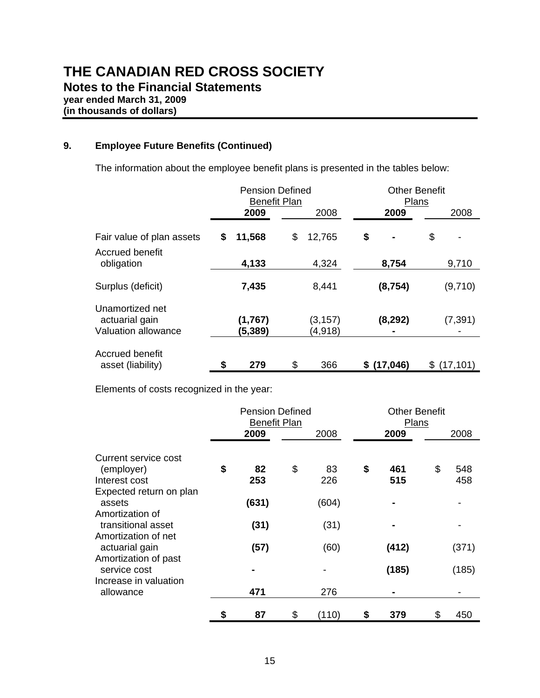# **9. Employee Future Benefits (Continued)**

The information about the employee benefit plans is presented in the tables below:

|                                                          |      | <b>Pension Defined</b><br><b>Benefit Plan</b> |                     |    | <b>Other Benefit</b><br>Plans |    |           |  |  |  |
|----------------------------------------------------------|------|-----------------------------------------------|---------------------|----|-------------------------------|----|-----------|--|--|--|
|                                                          | 2009 |                                               | 2008                |    | 2009                          |    | 2008      |  |  |  |
| Fair value of plan assets                                | \$   | 11,568                                        | \$<br>12,765        | \$ | $\blacksquare$                | \$ |           |  |  |  |
| Accrued benefit<br>obligation                            |      | 4,133                                         | 4,324               |    | 8,754                         |    | 9,710     |  |  |  |
| Surplus (deficit)                                        |      | 7,435                                         | 8,441               |    | (8, 754)                      |    | (9,710)   |  |  |  |
| Unamortized net<br>actuarial gain<br>Valuation allowance |      | (1,767)<br>(5,389)                            | (3, 157)<br>(4,918) |    | (8, 292)                      |    | (7, 391)  |  |  |  |
| Accrued benefit<br>asset (liability)                     | \$   | 279                                           | \$<br>366           | S  | (17, 046)                     | S  | (17, 101) |  |  |  |

Elements of costs recognized in the year:

|                                                               |    | <b>Pension Defined</b><br><b>Benefit Plan</b> |                 | <b>Other Benefit</b><br>Plans |    |            |  |  |
|---------------------------------------------------------------|----|-----------------------------------------------|-----------------|-------------------------------|----|------------|--|--|
|                                                               |    | 2009                                          | 2008            | 2009                          |    | 2008       |  |  |
| Current service cost<br>(employer)<br>Interest cost           | \$ | 82<br>253                                     | \$<br>83<br>226 | \$<br>461                     | \$ | 548<br>458 |  |  |
| Expected return on plan<br>assets                             |    | (631)                                         | (604)           | 515                           |    |            |  |  |
| Amortization of<br>transitional asset                         |    | (31)                                          | (31)            |                               |    |            |  |  |
| Amortization of net<br>actuarial gain                         |    | (57)                                          | (60)            | (412)                         |    | (371)      |  |  |
| Amortization of past<br>service cost<br>Increase in valuation |    |                                               |                 | (185)                         |    | (185)      |  |  |
| allowance                                                     |    | 471                                           | 276             |                               |    |            |  |  |
|                                                               | \$ | 87                                            | \$<br>(110)     | \$<br>379                     | \$ | 450        |  |  |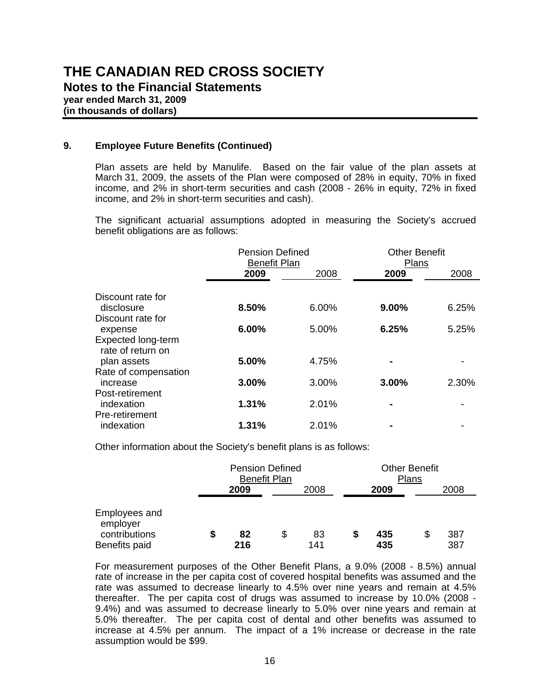# **THE CANADIAN RED CROSS SOCIETY Notes to the Financial Statements year ended March 31, 2009 (in thousands of dollars)**

## **9. Employee Future Benefits (Continued)**

Plan assets are held by Manulife. Based on the fair value of the plan assets at March 31, 2009, the assets of the Plan were composed of 28% in equity, 70% in fixed income, and 2% in short-term securities and cash (2008 - 26% in equity, 72% in fixed income, and 2% in short-term securities and cash).

The significant actuarial assumptions adopted in measuring the Society's accrued benefit obligations are as follows:

|                                         | <b>Pension Defined</b><br><b>Benefit Plan</b> |       | <b>Other Benefit</b><br>Plans |       |
|-----------------------------------------|-----------------------------------------------|-------|-------------------------------|-------|
|                                         | 2009                                          | 2008  | 2009                          | 2008  |
| Discount rate for                       |                                               |       |                               |       |
| disclosure<br>Discount rate for         | 8.50%                                         | 6.00% | $9.00\%$                      | 6.25% |
| expense                                 | 6.00%                                         | 5.00% | 6.25%                         | 5.25% |
| Expected long-term<br>rate of return on |                                               |       |                               |       |
| plan assets                             | 5.00%                                         | 4.75% |                               |       |
| Rate of compensation<br>increase        | $3.00\%$                                      | 3.00% | 3.00%                         | 2.30% |
| Post-retirement<br>indexation           | 1.31%                                         | 2.01% |                               |       |
| Pre-retirement<br>indexation            | 1.31%                                         | 2.01% |                               |       |

Other information about the Society's benefit plans is as follows:

|                                                             |      | <b>Pension Defined</b> | <b>Benefit Plan</b> |           |            | <b>Other Benefit</b><br>Plans |            |  |  |  |
|-------------------------------------------------------------|------|------------------------|---------------------|-----------|------------|-------------------------------|------------|--|--|--|
|                                                             | 2009 |                        |                     |           | 2009       |                               | 2008       |  |  |  |
| Employees and<br>employer<br>contributions<br>Benefits paid | S    | 82<br>216              | S                   | 83<br>141 | 435<br>435 |                               | 387<br>387 |  |  |  |

For measurement purposes of the Other Benefit Plans, a 9.0% (2008 - 8.5%) annual rate of increase in the per capita cost of covered hospital benefits was assumed and the rate was assumed to decrease linearly to 4.5% over nine years and remain at 4.5% thereafter. The per capita cost of drugs was assumed to increase by 10.0% (2008 - 9.4%) and was assumed to decrease linearly to 5.0% over nine years and remain at 5.0% thereafter. The per capita cost of dental and other benefits was assumed to increase at 4.5% per annum. The impact of a 1% increase or decrease in the rate assumption would be \$99.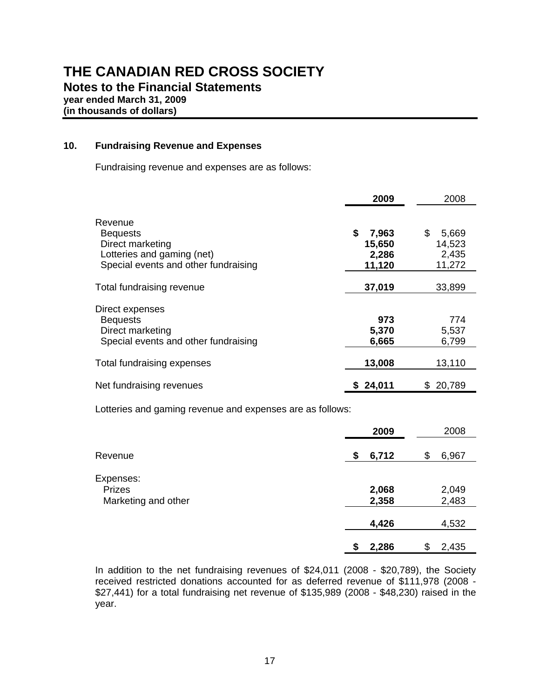## **10. Fundraising Revenue and Expenses**

Fundraising revenue and expenses are as follows:

|                                                                                                                      | 2009                                     | 2008                                     |  |  |  |  |
|----------------------------------------------------------------------------------------------------------------------|------------------------------------------|------------------------------------------|--|--|--|--|
| Revenue<br><b>Bequests</b><br>Direct marketing<br>Lotteries and gaming (net)<br>Special events and other fundraising | \$<br>7,963<br>15,650<br>2,286<br>11,120 | \$<br>5,669<br>14,523<br>2,435<br>11,272 |  |  |  |  |
| Total fundraising revenue                                                                                            | 37,019                                   | 33,899                                   |  |  |  |  |
| Direct expenses<br><b>Bequests</b><br>Direct marketing<br>Special events and other fundraising                       | 973<br>5,370<br>6,665                    | 774<br>5,537<br>6,799                    |  |  |  |  |
| Total fundraising expenses                                                                                           | 13,008                                   | 13,110                                   |  |  |  |  |
| Net fundraising revenues                                                                                             | 24,011                                   | 20,789                                   |  |  |  |  |

Lotteries and gaming revenue and expenses are as follows:

|                                      | 2009           | 2008           |
|--------------------------------------|----------------|----------------|
| Revenue                              | 6,712<br>\$    | 6,967<br>\$    |
| Expenses:                            |                |                |
| <b>Prizes</b><br>Marketing and other | 2,068<br>2,358 | 2,049<br>2,483 |
|                                      | 4,426          | 4,532          |
|                                      | 2,286<br>S     | 2,435<br>\$    |

 In addition to the net fundraising revenues of \$24,011 (2008 - \$20,789), the Society received restricted donations accounted for as deferred revenue of \$111,978 (2008 - \$27,441) for a total fundraising net revenue of \$135,989 (2008 - \$48,230) raised in the year.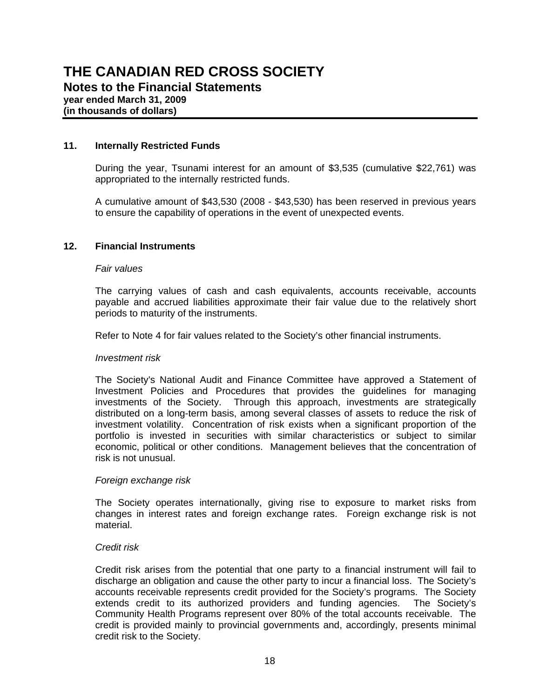### **11. Internally Restricted Funds**

During the year, Tsunami interest for an amount of \$3,535 (cumulative \$22,761) was appropriated to the internally restricted funds.

 A cumulative amount of \$43,530 (2008 - \$43,530) has been reserved in previous years to ensure the capability of operations in the event of unexpected events.

### **12. Financial Instruments**

### *Fair values*

The carrying values of cash and cash equivalents, accounts receivable, accounts payable and accrued liabilities approximate their fair value due to the relatively short periods to maturity of the instruments.

Refer to Note 4 for fair values related to the Society's other financial instruments.

### *Investment risk*

The Society's National Audit and Finance Committee have approved a Statement of Investment Policies and Procedures that provides the guidelines for managing investments of the Society. Through this approach, investments are strategically distributed on a long-term basis, among several classes of assets to reduce the risk of investment volatility. Concentration of risk exists when a significant proportion of the portfolio is invested in securities with similar characteristics or subject to similar economic, political or other conditions. Management believes that the concentration of risk is not unusual.

### *Foreign exchange risk*

The Society operates internationally, giving rise to exposure to market risks from changes in interest rates and foreign exchange rates. Foreign exchange risk is not material.

### *Credit risk*

Credit risk arises from the potential that one party to a financial instrument will fail to discharge an obligation and cause the other party to incur a financial loss. The Society's accounts receivable represents credit provided for the Society's programs. The Society extends credit to its authorized providers and funding agencies. The Society's Community Health Programs represent over 80% of the total accounts receivable. The credit is provided mainly to provincial governments and, accordingly, presents minimal credit risk to the Society.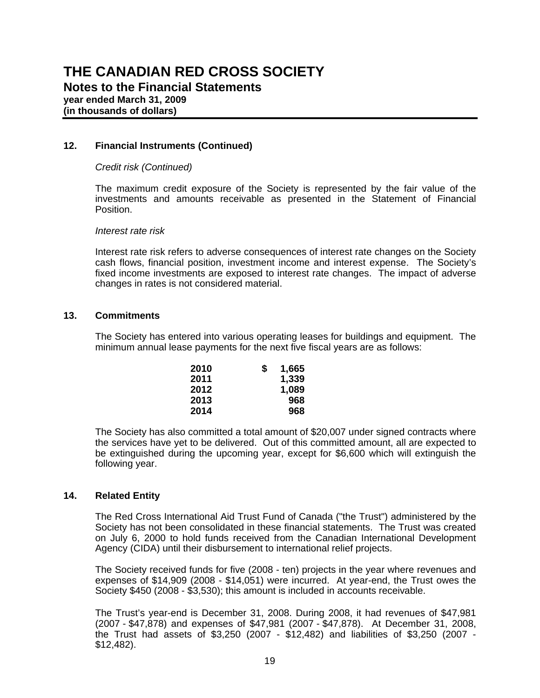# **12. Financial Instruments (Continued)**

### *Credit risk (Continued)*

The maximum credit exposure of the Society is represented by the fair value of the investments and amounts receivable as presented in the Statement of Financial Position.

### *Interest rate risk*

Interest rate risk refers to adverse consequences of interest rate changes on the Society cash flows, financial position, investment income and interest expense. The Society's fixed income investments are exposed to interest rate changes. The impact of adverse changes in rates is not considered material.

### **13. Commitments**

The Society has entered into various operating leases for buildings and equipment. The minimum annual lease payments for the next five fiscal years are as follows:

| 2010 | S | 1,665 |
|------|---|-------|
| 2011 |   | 1,339 |
| 2012 |   | 1,089 |
| 2013 |   | 968   |
| 2014 |   | 968   |

The Society has also committed a total amount of \$20,007 under signed contracts where the services have yet to be delivered. Out of this committed amount, all are expected to be extinguished during the upcoming year, except for \$6,600 which will extinguish the following year.

### **14. Related Entity**

The Red Cross International Aid Trust Fund of Canada ("the Trust") administered by the Society has not been consolidated in these financial statements. The Trust was created on July 6, 2000 to hold funds received from the Canadian International Development Agency (CIDA) until their disbursement to international relief projects.

The Society received funds for five (2008 - ten) projects in the year where revenues and expenses of \$14,909 (2008 - \$14,051) were incurred. At year-end, the Trust owes the Society \$450 (2008 - \$3,530); this amount is included in accounts receivable.

The Trust's year-end is December 31, 2008. During 2008, it had revenues of \$47,981 (2007 - \$47,878) and expenses of \$47,981 (2007 - \$47,878). At December 31, 2008, the Trust had assets of \$3,250 (2007 - \$12,482) and liabilities of \$3,250 (2007 - \$12,482).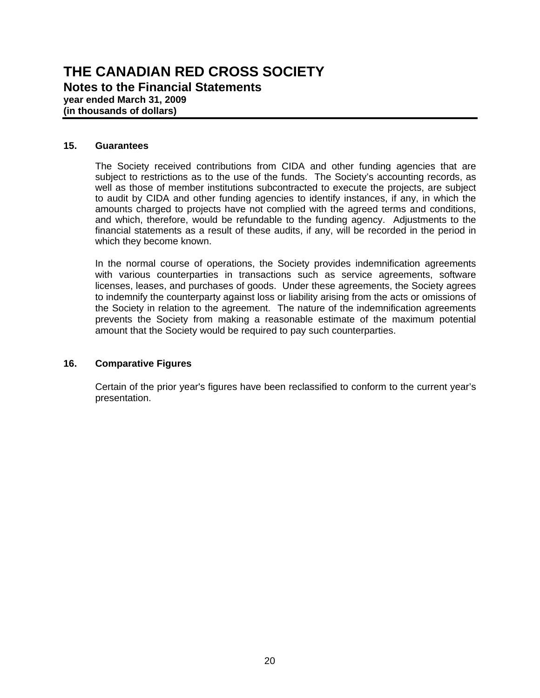### **15. Guarantees**

The Society received contributions from CIDA and other funding agencies that are subject to restrictions as to the use of the funds. The Society's accounting records, as well as those of member institutions subcontracted to execute the projects, are subject to audit by CIDA and other funding agencies to identify instances, if any, in which the amounts charged to projects have not complied with the agreed terms and conditions, and which, therefore, would be refundable to the funding agency. Adjustments to the financial statements as a result of these audits, if any, will be recorded in the period in which they become known.

In the normal course of operations, the Society provides indemnification agreements with various counterparties in transactions such as service agreements, software licenses, leases, and purchases of goods. Under these agreements, the Society agrees to indemnify the counterparty against loss or liability arising from the acts or omissions of the Society in relation to the agreement. The nature of the indemnification agreements prevents the Society from making a reasonable estimate of the maximum potential amount that the Society would be required to pay such counterparties.

### **16. Comparative Figures**

Certain of the prior year's figures have been reclassified to conform to the current year's presentation.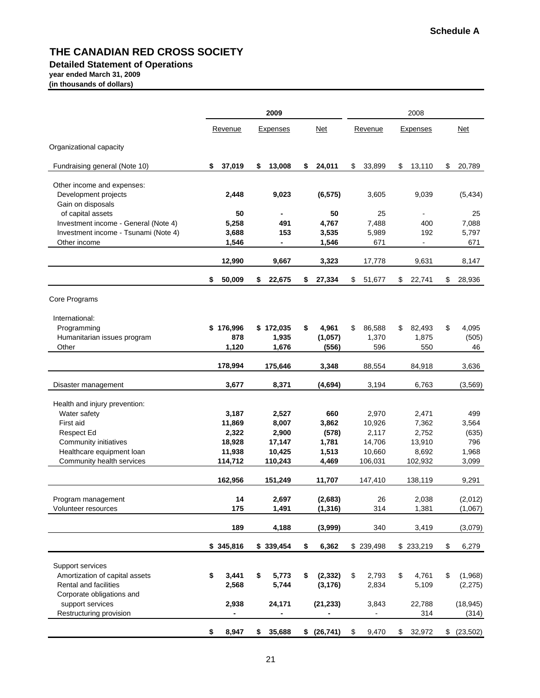#### **Detailed Statement of Operations**

**year ended March 31, 2009**

**(in thousands of dollars)**

|                                                           | 2009 |                |    |                 |    |             |    | 2008        |    |                 |    |             |  |
|-----------------------------------------------------------|------|----------------|----|-----------------|----|-------------|----|-------------|----|-----------------|----|-------------|--|
|                                                           |      | Revenue        |    | <b>Expenses</b> |    | <b>Net</b>  |    | Revenue     |    | <b>Expenses</b> |    | Net         |  |
| Organizational capacity                                   |      |                |    |                 |    |             |    |             |    |                 |    |             |  |
| Fundraising general (Note 10)                             | \$   | 37,019         | \$ | 13,008          | \$ | 24,011      | \$ | 33,899      | \$ | 13,110          | \$ | 20,789      |  |
| Other income and expenses:                                |      |                |    |                 |    |             |    |             |    |                 |    |             |  |
| Development projects                                      |      | 2,448          |    | 9,023           |    | (6, 575)    |    | 3,605       |    | 9,039           |    | (5, 434)    |  |
| Gain on disposals                                         |      |                |    |                 |    |             |    |             |    |                 |    |             |  |
| of capital assets<br>Investment income - General (Note 4) |      | 50<br>5,258    |    | 491             |    | 50<br>4,767 |    | 25<br>7,488 |    | ä,<br>400       |    | 25<br>7,088 |  |
| Investment income - Tsunami (Note 4)                      |      | 3,688          |    | 153             |    | 3,535       |    | 5,989       |    | 192             |    | 5,797       |  |
| Other income                                              |      | 1,546          |    | -               |    | 1,546       |    | 671         |    | $\blacksquare$  |    | 671         |  |
|                                                           |      | 12,990         |    | 9,667           |    | 3,323       |    | 17,778      |    | 9,631           |    | 8,147       |  |
|                                                           | \$   | 50,009         | \$ | 22,675          | \$ | 27,334      | \$ | 51,677      | \$ | 22,741          | \$ | 28,936      |  |
|                                                           |      |                |    |                 |    |             |    |             |    |                 |    |             |  |
| Core Programs                                             |      |                |    |                 |    |             |    |             |    |                 |    |             |  |
| International:                                            |      |                |    |                 |    |             |    |             |    |                 |    |             |  |
| Programming                                               |      | \$176,996      |    | \$172,035       | \$ | 4,961       | \$ | 86,588      | \$ | 82,493          | \$ | 4,095       |  |
| Humanitarian issues program                               |      | 878            |    | 1,935           |    | (1,057)     |    | 1,370       |    | 1,875           |    | (505)       |  |
| Other                                                     |      | 1,120          |    | 1,676           |    | (556)       |    | 596         |    | 550             |    | 46          |  |
|                                                           |      | 178,994        |    | 175,646         |    | 3,348       |    | 88,554      |    | 84,918          |    | 3,636       |  |
| Disaster management                                       |      | 3,677          |    | 8,371           |    | (4,694)     |    | 3,194       |    | 6,763           |    | (3, 569)    |  |
| Health and injury prevention:                             |      |                |    |                 |    |             |    |             |    |                 |    |             |  |
| Water safety                                              |      | 3,187          |    | 2,527           |    | 660         |    | 2,970       |    | 2,471           |    | 499         |  |
| First aid                                                 |      | 11,869         |    | 8,007           |    | 3,862       |    | 10,926      |    | 7,362           |    | 3,564       |  |
| <b>Respect Ed</b>                                         |      | 2,322          |    | 2,900           |    | (578)       |    | 2,117       |    | 2,752           |    | (635)       |  |
| Community initiatives                                     |      | 18,928         |    | 17,147          |    | 1,781       |    | 14,706      |    | 13,910          |    | 796         |  |
| Healthcare equipment loan                                 |      | 11,938         |    | 10,425          |    | 1,513       |    | 10,660      |    | 8,692           |    | 1,968       |  |
| Community health services                                 |      | 114,712        |    | 110,243         |    | 4,469       |    | 106,031     |    | 102,932         |    | 3,099       |  |
|                                                           |      | 162,956        |    | 151,249         |    | 11,707      |    | 147,410     |    | 138,119         |    | 9,291       |  |
| Program management                                        |      | 14             |    | 2,697           |    | (2,683)     |    | 26          |    | 2,038           |    | (2,012)     |  |
| Volunteer resources                                       |      | 175            |    | 1,491           |    | (1, 316)    |    | 314         |    | 1,381           |    | (1,067)     |  |
|                                                           |      |                |    |                 |    |             |    |             |    |                 |    |             |  |
|                                                           |      | 189            |    | 4,188           |    | (3,999)     |    | 340         |    | 3,419           |    | (3,079)     |  |
|                                                           |      | \$345,816      |    | \$339,454       | \$ | 6,362       |    | \$239,498   |    | \$233,219       | \$ | 6,279       |  |
| Support services                                          |      |                |    |                 |    |             |    |             |    |                 |    |             |  |
| Amortization of capital assets                            | \$   | 3,441          | \$ | 5,773           | \$ | (2, 332)    | \$ | 2,793       | \$ | 4,761           | \$ | (1,968)     |  |
| Rental and facilities                                     |      | 2,568          |    | 5,744           |    | (3, 176)    |    | 2,834       |    | 5,109           |    | (2, 275)    |  |
| Corporate obligations and                                 |      |                |    |                 |    |             |    |             |    |                 |    |             |  |
| support services                                          |      | 2,938          |    | 24,171          |    | (21, 233)   |    | 3,843       |    | 22,788          |    | (18, 945)   |  |
| Restructuring provision                                   |      | $\blacksquare$ |    |                 |    |             |    |             |    | 314             |    | (314)       |  |
|                                                           | \$   | 8,947          | \$ | 35,688          |    | \$ (26,741) | \$ | 9,470       | \$ | 32,972          | \$ | (23, 502)   |  |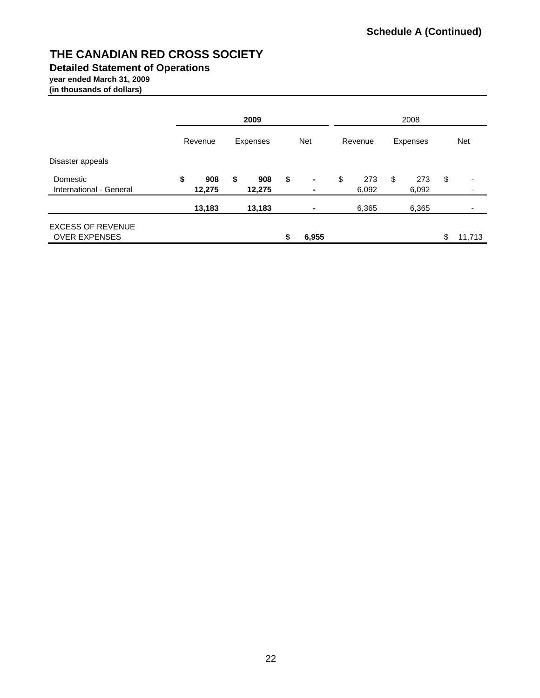**Detailed Statement of Operations**

# **year ended March 31, 2009**

**(in thousands of dollars)**

|                                                  |         |               |                           | 2009                |                                          |              |                    |       |    | 2008                          |    |        |  |  |  |  |  |
|--------------------------------------------------|---------|---------------|---------------------------|---------------------|------------------------------------------|--------------|--------------------|-------|----|-------------------------------|----|--------|--|--|--|--|--|
|                                                  | Revenue |               | <b>Expenses</b>           |                     | <u>Net</u><br><b>Expenses</b><br>Revenue |              |                    |       |    | $Net$                         |    |        |  |  |  |  |  |
| Disaster appeals                                 |         |               |                           |                     |                                          |              |                    |       |    |                               |    |        |  |  |  |  |  |
| Domestic<br>International - General              | \$      | 908<br>12,275 | \$<br>\$<br>908<br>12,275 | ٠<br>$\blacksquare$ | \$                                       | 273<br>6,092 | \$<br>273<br>6,092 |       | \$ | $\overline{\phantom{0}}$<br>٠ |    |        |  |  |  |  |  |
|                                                  |         | 13,183        |                           | 13,183              |                                          | ٠            |                    | 6,365 |    | 6,365                         |    |        |  |  |  |  |  |
| <b>EXCESS OF REVENUE</b><br><b>OVER EXPENSES</b> |         |               |                           |                     | \$                                       | 6,955        |                    |       |    |                               | \$ | 11.713 |  |  |  |  |  |